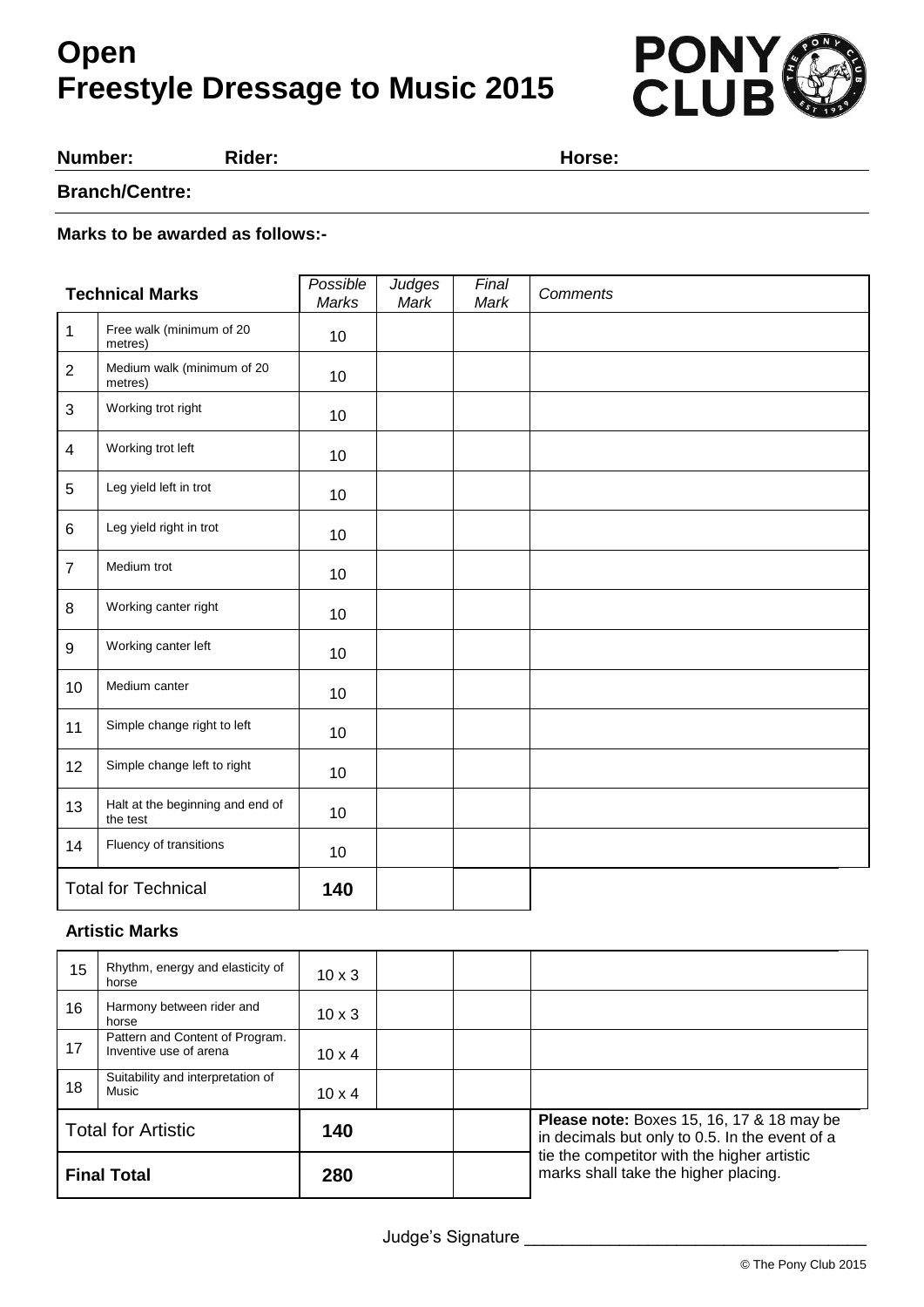# **Open Freestyle Dressage to Music 2015**



**Number: Rider: Horse:**

### **Branch/Centre:**

#### **Marks to be awarded as follows:-**

| <b>Technical Marks</b>     |                                              | Possible<br>Marks | <b>Judges</b><br>Mark | Final<br>Mark | <b>Comments</b> |
|----------------------------|----------------------------------------------|-------------------|-----------------------|---------------|-----------------|
| $\mathbf{1}$               | Free walk (minimum of 20<br>metres)          | 10                |                       |               |                 |
| $\overline{2}$             | Medium walk (minimum of 20<br>metres)        | 10                |                       |               |                 |
| 3                          | Working trot right                           | 10                |                       |               |                 |
| $\overline{\mathbf{4}}$    | Working trot left                            | 10                |                       |               |                 |
| 5                          | Leg yield left in trot                       | 10                |                       |               |                 |
| 6                          | Leg yield right in trot                      | 10                |                       |               |                 |
| $\overline{7}$             | Medium trot                                  | 10                |                       |               |                 |
| 8                          | Working canter right                         | 10                |                       |               |                 |
| 9                          | Working canter left                          | 10                |                       |               |                 |
| 10                         | Medium canter                                | 10                |                       |               |                 |
| 11                         | Simple change right to left                  | 10                |                       |               |                 |
| 12                         | Simple change left to right                  | 10                |                       |               |                 |
| 13                         | Halt at the beginning and end of<br>the test | 10                |                       |               |                 |
| 14                         | Fluency of transitions                       | 10                |                       |               |                 |
| <b>Total for Technical</b> |                                              | 140               |                       |               |                 |

### **Artistic Marks**

| 15                        | Rhythm, energy and elasticity of<br>horse                 | $10 \times 3$ |  |  |                                                                                                                                                                                           |
|---------------------------|-----------------------------------------------------------|---------------|--|--|-------------------------------------------------------------------------------------------------------------------------------------------------------------------------------------------|
| 16                        | Harmony between rider and<br>horse                        | $10 \times 3$ |  |  |                                                                                                                                                                                           |
| 17                        | Pattern and Content of Program.<br>Inventive use of arena | $10 \times 4$ |  |  |                                                                                                                                                                                           |
| 18                        | Suitability and interpretation of<br>Music                | $10 \times 4$ |  |  |                                                                                                                                                                                           |
| <b>Total for Artistic</b> |                                                           | 140           |  |  | <b>Please note:</b> Boxes 15, 16, 17 & 18 may be<br>in decimals but only to 0.5. In the event of a<br>tie the competitor with the higher artistic<br>marks shall take the higher placing. |
| <b>Final Total</b>        |                                                           | 280           |  |  |                                                                                                                                                                                           |